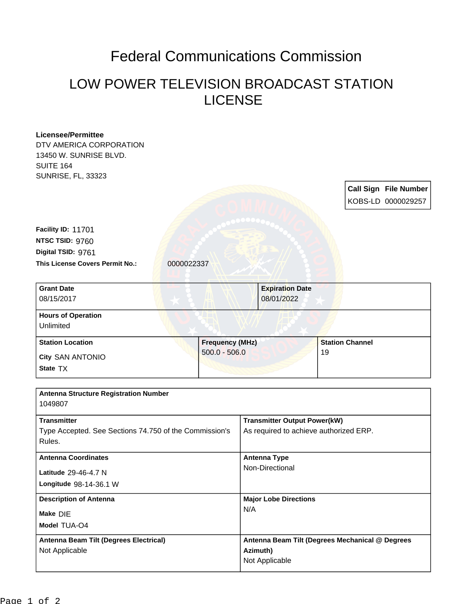## Federal Communications Commission

## LOW POWER TELEVISION BROADCAST STATION LICENSE

| <b>Licensee/Permittee</b>                              |                        |                                        |                                                 |  |
|--------------------------------------------------------|------------------------|----------------------------------------|-------------------------------------------------|--|
| DTV AMERICA CORPORATION                                |                        |                                        |                                                 |  |
| 13450 W. SUNRISE BLVD.                                 |                        |                                        |                                                 |  |
| <b>SUITE 164</b>                                       |                        |                                        |                                                 |  |
| <b>SUNRISE, FL, 33323</b>                              |                        |                                        |                                                 |  |
|                                                        |                        |                                        | <b>Call Sign File Number</b>                    |  |
|                                                        |                        |                                        | KOBS-LD 0000029257                              |  |
|                                                        |                        |                                        |                                                 |  |
| Facility ID: 11701                                     |                        |                                        |                                                 |  |
| NTSC TSID: 9760                                        |                        |                                        |                                                 |  |
| Digital TSID: 9761                                     |                        |                                        |                                                 |  |
| This License Covers Permit No.:                        | 0000022337             |                                        |                                                 |  |
|                                                        |                        |                                        |                                                 |  |
| <b>Grant Date</b>                                      |                        | <b>Expiration Date</b>                 |                                                 |  |
| 08/15/2017                                             |                        | 08/01/2022                             |                                                 |  |
|                                                        |                        |                                        |                                                 |  |
| <b>Hours of Operation</b>                              |                        |                                        |                                                 |  |
| Unlimited                                              |                        |                                        |                                                 |  |
| <b>Station Location</b>                                | <b>Frequency (MHz)</b> |                                        | <b>Station Channel</b>                          |  |
| City SAN ANTONIO                                       | $500.0 - 506.0$        |                                        | 19                                              |  |
| State TX                                               |                        |                                        |                                                 |  |
|                                                        |                        |                                        |                                                 |  |
| <b>Antenna Structure Registration Number</b>           |                        |                                        |                                                 |  |
| 1049807                                                |                        |                                        |                                                 |  |
|                                                        |                        |                                        |                                                 |  |
| <b>Transmitter</b>                                     |                        | <b>Transmitter Output Power(kW)</b>    |                                                 |  |
| Type Accepted. See Sections 74.750 of the Commission's |                        | As required to achieve authorized ERP. |                                                 |  |
| Rules.                                                 |                        |                                        |                                                 |  |
| <b>Antenna Coordinates</b>                             |                        | <b>Antenna Type</b>                    |                                                 |  |
| Latitude 29-46-4.7 N                                   |                        | Non-Directional                        |                                                 |  |
| Longitude 98-14-36.1 W                                 |                        |                                        |                                                 |  |
|                                                        |                        |                                        |                                                 |  |
| <b>Description of Antenna</b>                          |                        | <b>Major Lobe Directions</b>           |                                                 |  |
| Make DIE                                               |                        | N/A                                    |                                                 |  |
| Model TUA-O4                                           |                        |                                        |                                                 |  |
| Antenna Beam Tilt (Degrees Electrical)                 |                        |                                        | Antenna Beam Tilt (Degrees Mechanical @ Degrees |  |
| Not Applicable                                         |                        | Azimuth)                               |                                                 |  |
|                                                        |                        | Not Applicable                         |                                                 |  |
|                                                        |                        |                                        |                                                 |  |